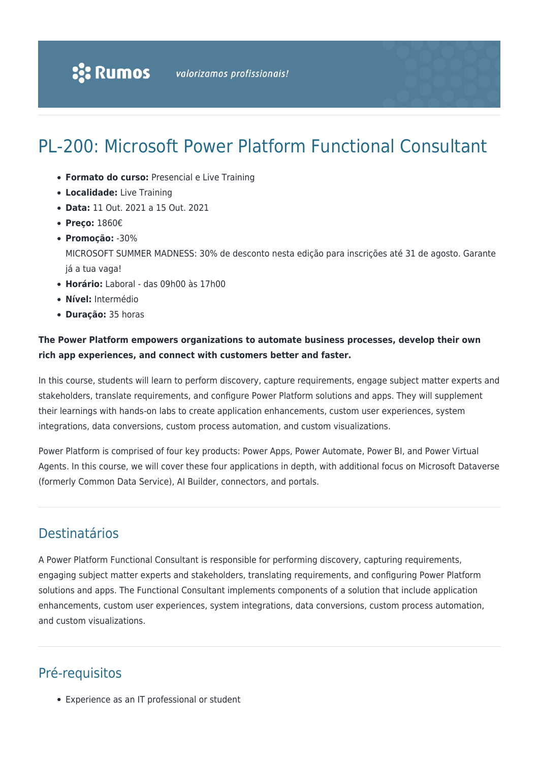# PL-200: Microsoft Power Platform Functional Consultant

- **Formato do curso:** Presencial e Live Training
- **Localidade:** Live Training
- **Data:** 11 Out. 2021 a 15 Out. 2021
- **Preço:** 1860€
- **Promoção:** -30%

MICROSOFT SUMMER MADNESS: 30% de desconto nesta edição para inscrições até 31 de agosto. Garante já a tua vaga!

- **Horário:** Laboral das 09h00 às 17h00
- **Nível:** Intermédio
- **Duração:** 35 horas

#### **The Power Platform empowers organizations to automate business processes, develop their own rich app experiences, and connect with customers better and faster.**

In this course, students will learn to perform discovery, capture requirements, engage subject matter experts and stakeholders, translate requirements, and configure Power Platform solutions and apps. They will supplement their learnings with hands-on labs to create application enhancements, custom user experiences, system integrations, data conversions, custom process automation, and custom visualizations.

Power Platform is comprised of four key products: Power Apps, Power Automate, Power BI, and Power Virtual Agents. In this course, we will cover these four applications in depth, with additional focus on Microsoft Dataverse (formerly Common Data Service), AI Builder, connectors, and portals.

## Destinatários

A Power Platform Functional Consultant is responsible for performing discovery, capturing requirements, engaging subject matter experts and stakeholders, translating requirements, and configuring Power Platform solutions and apps. The Functional Consultant implements components of a solution that include application enhancements, custom user experiences, system integrations, data conversions, custom process automation, and custom visualizations.

## Pré-requisitos

Experience as an IT professional or student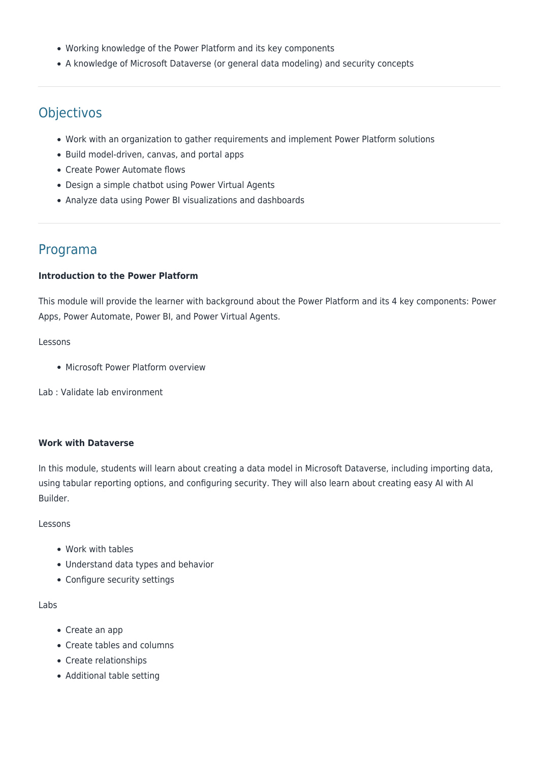- Working knowledge of the Power Platform and its key components
- A knowledge of Microsoft Dataverse (or general data modeling) and security concepts

## **Objectivos**

- Work with an organization to gather requirements and implement Power Platform solutions
- Build model-driven, canvas, and portal apps
- Create Power Automate flows
- Design a simple chatbot using Power Virtual Agents
- Analyze data using Power BI visualizations and dashboards

### Programa

#### **Introduction to the Power Platform**

This module will provide the learner with background about the Power Platform and its 4 key components: Power Apps, Power Automate, Power BI, and Power Virtual Agents.

#### Lessons

• Microsoft Power Platform overview

Lab : Validate lab environment

#### **Work with Dataverse**

In this module, students will learn about creating a data model in Microsoft Dataverse, including importing data, using tabular reporting options, and configuring security. They will also learn about creating easy AI with AI Builder.

Lessons

- Work with tables
- Understand data types and behavior
- Configure security settings

Labs

- Create an app
- Create tables and columns
- Create relationships
- Additional table setting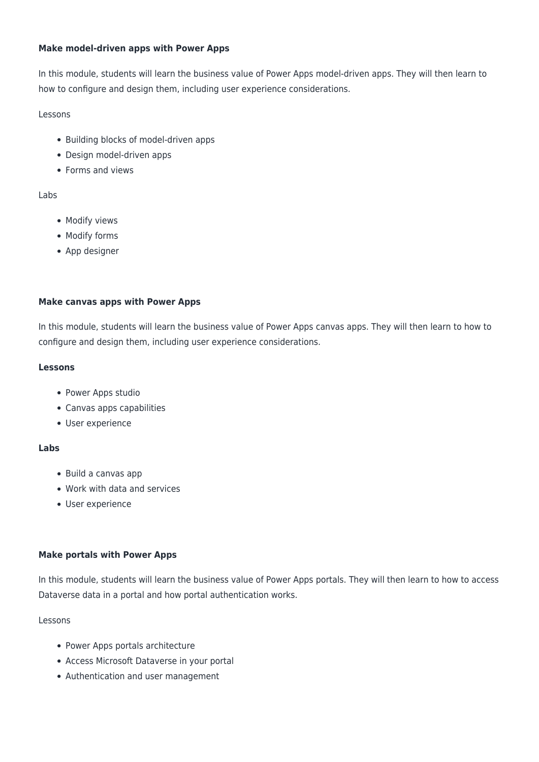#### **Make model-driven apps with Power Apps**

In this module, students will learn the business value of Power Apps model-driven apps. They will then learn to how to configure and design them, including user experience considerations.

#### Lessons

- Building blocks of model-driven apps
- Design model-driven apps
- Forms and views

#### Labs

- Modify views
- Modify forms
- App designer

#### **Make canvas apps with Power Apps**

In this module, students will learn the business value of Power Apps canvas apps. They will then learn to how to configure and design them, including user experience considerations.

#### **Lessons**

- Power Apps studio
- Canvas apps capabilities
- User experience

#### **Labs**

- Build a canvas app
- Work with data and services
- User experience

#### **Make portals with Power Apps**

In this module, students will learn the business value of Power Apps portals. They will then learn to how to access Dataverse data in a portal and how portal authentication works.

#### Lessons

- Power Apps portals architecture
- Access Microsoft Dataverse in your portal
- Authentication and user management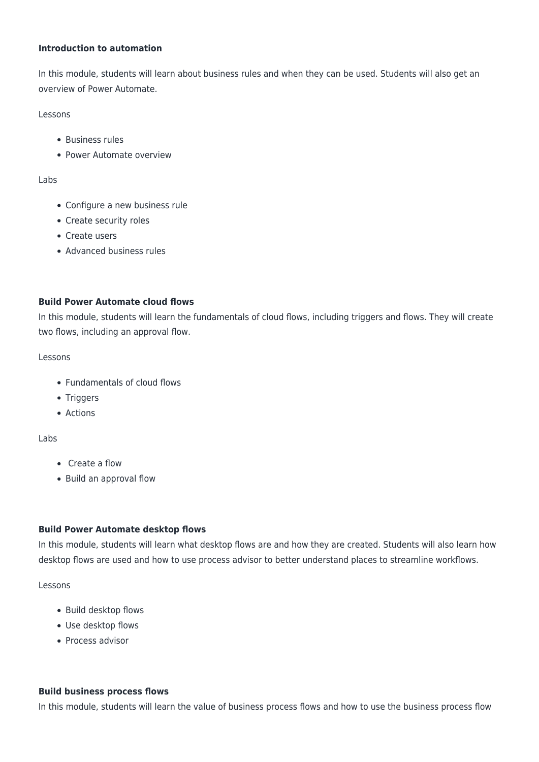#### **Introduction to automation**

In this module, students will learn about business rules and when they can be used. Students will also get an overview of Power Automate.

Lessons

- Business rules
- Power Automate overview

#### Labs

- Configure a new business rule
- Create security roles
- Create users
- Advanced business rules

#### **Build Power Automate cloud flows**

In this module, students will learn the fundamentals of cloud flows, including triggers and flows. They will create two flows, including an approval flow.

#### Lessons

- Fundamentals of cloud flows
- Triggers
- Actions

#### Labs

- Create a flow
- Build an approval flow

#### **Build Power Automate desktop flows**

In this module, students will learn what desktop flows are and how they are created. Students will also learn how desktop flows are used and how to use process advisor to better understand places to streamline workflows.

#### Lessons

- Build desktop flows
- Use desktop flows
- Process advisor

#### **Build business process flows**

In this module, students will learn the value of business process flows and how to use the business process flow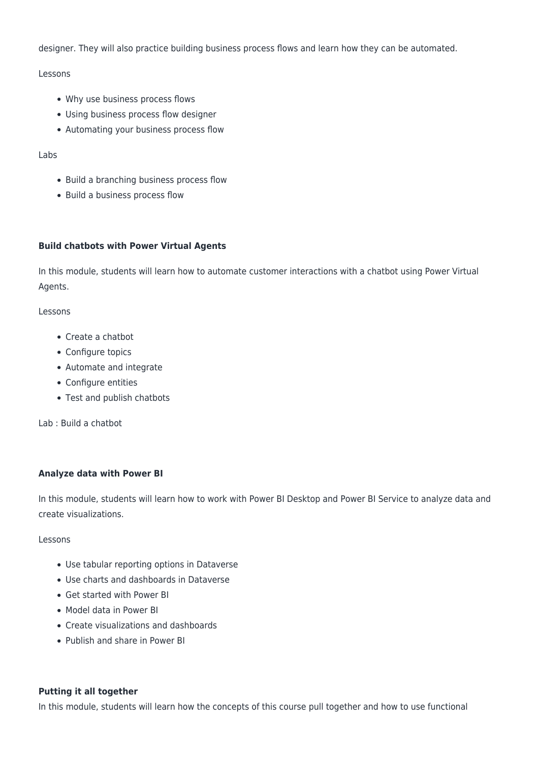designer. They will also practice building business process flows and learn how they can be automated.

Lessons

- Why use business process flows
- Using business process flow designer
- Automating your business process flow

Labs

- Build a branching business process flow
- Build a business process flow

#### **Build chatbots with Power Virtual Agents**

In this module, students will learn how to automate customer interactions with a chatbot using Power Virtual Agents.

Lessons

- Create a chatbot
- Configure topics
- Automate and integrate
- Configure entities
- Test and publish chatbots

Lab : Build a chatbot

#### **Analyze data with Power BI**

In this module, students will learn how to work with Power BI Desktop and Power BI Service to analyze data and create visualizations.

Lessons

- Use tabular reporting options in Dataverse
- Use charts and dashboards in Dataverse
- Get started with Power BI
- Model data in Power BI
- Create visualizations and dashboards
- Publish and share in Power BI

#### **Putting it all together**

In this module, students will learn how the concepts of this course pull together and how to use functional